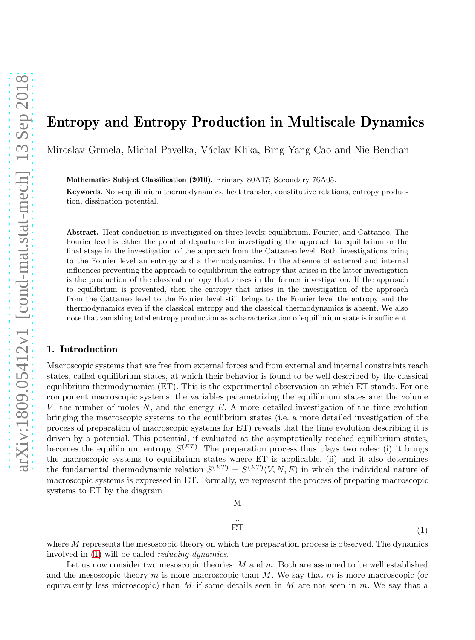# Entropy and Entropy Production in Multiscale Dynamics

Miroslav Grmela, Michal Pavelka, V´aclav Klika, Bing-Yang Cao and Nie Bendian

Mathematics Subject Classification (2010). Primary 80A17; Secondary 76A05.

Keywords. Non-equilibrium thermodynamics, heat transfer, constitutive relations, entropy production, dissipation potential.

Abstract. Heat conduction is investigated on three levels: equilibrium, Fourier, and Cattaneo. The Fourier level is either the point of departure for investigating the approach to equilibrium or the final stage in the investigation of the approach from the Cattaneo level. Both investigations bring to the Fourier level an entropy and a thermodynamics. In the absence of external and internal influences preventing the approach to equilibrium the entropy that arises in the latter investigation is the production of the classical entropy that arises in the former investigation. If the approach to equilibrium is prevented, then the entropy that arises in the investigation of the approach from the Cattaneo level to the Fourier level still brings to the Fourier level the entropy and the thermodynamics even if the classical entropy and the classical thermodynamics is absent. We also note that vanishing total entropy production as a characterization of equilibrium state is insufficient.

## 1. Introduction

Macroscopic systems that are free from external forces and from external and internal constraints reach states, called equilibrium states, at which their behavior is found to be well described by the classical equilibrium thermodynamics (ET). This is the experimental observation on which ET stands. For one component macroscopic systems, the variables parametrizing the equilibrium states are: the volume V, the number of moles  $N$ , and the energy  $E$ . A more detailed investigation of the time evolution bringing the macroscopic systems to the equilibrium states (i.e. a more detailed investigation of the process of preparation of macroscopic systems for ET) reveals that the time evolution describing it is driven by a potential. This potential, if evaluated at the asymptotically reached equilibrium states, becomes the equilibrium entropy  $S<sup>(ET)</sup>$ . The preparation process thus plays two roles: (i) it brings the macroscopic systems to equilibrium states where ET is applicable, (ii) and it also determines the fundamental thermodynamic relation  $S^{(ET)} = S^{(ET)}(V, N, E)$  in which the individual nature of macroscopic systems is expressed in ET. Formally, we represent the process of preparing macroscopic systems to ET by the diagram

> <span id="page-0-0"></span>M  $\perp$  $ET$  (1)

where  $M$  represents the mesoscopic theory on which the preparation process is observed. The dynamics involved in [\(1\)](#page-0-0) will be called reducing dynamics.

Let us now consider two mesoscopic theories:  $M$  and  $m$ . Both are assumed to be well established and the mesoscopic theory m is more macroscopic than M. We say that m is more macroscopic (or equivalently less microscopic) than M if some details seen in M are not seen in m. We say that a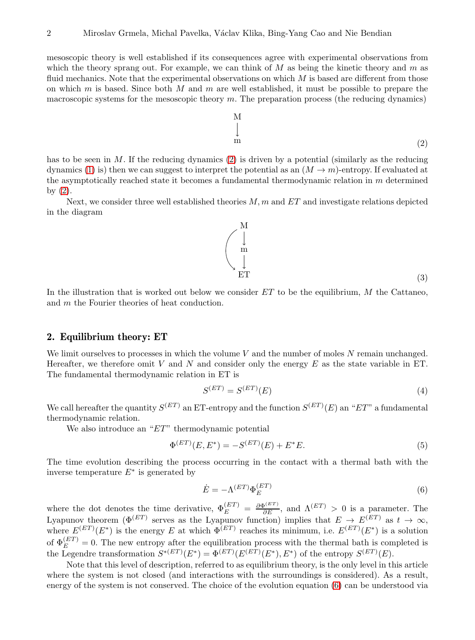mesoscopic theory is well established if its consequences agree with experimental observations from which the theory sprang out. For example, we can think of  $M$  as being the kinetic theory and  $m$  as fluid mechanics. Note that the experimental observations on which  $M$  is based are different from those on which m is based. Since both M and m are well established, it must be possible to prepare the macroscopic systems for the mesoscopic theory  $m$ . The preparation process (the reducing dynamics)

<span id="page-1-0"></span> $\prod_{i=1}^{n}$ 

 $m$  (2) has to be seen in M. If the reducing dynamics  $(2)$  is driven by a potential (similarly as the reducing dynamics [\(1\)](#page-0-0) is) then we can suggest to interpret the potential as an  $(M \to m)$ -entropy. If evaluated at the asymptotically reached state it becomes a fundamental thermodynamic relation in  $m$  determined by  $(2)$ .

Next, we consider three well established theories  $M, m$  and  $ET$  and investigate relations depicted in the diagram

In the illustration that is worked out below we consider  $ET$  to be the equilibrium,  $M$  the Cattaneo, and m the Fourier theories of heat conduction.

# 2. Equilibrium theory: ET

We limit ourselves to processes in which the volume  $V$  and the number of moles  $N$  remain unchanged. Hereafter, we therefore omit V and N and consider only the energy  $E$  as the state variable in ET. The fundamental thermodynamic relation in ET is

<span id="page-1-2"></span>
$$
S^{(ET)} = S^{(ET)}(E) \tag{4}
$$

We call hereafter the quantity  $S^{(ET)}$  an ET-entropy and the function  $S^{(ET)}(E)$  an "ET" a fundamental thermodynamic relation.

We also introduce an " $ET$ " thermodynamic potential

$$
\Phi^{(ET)}(E, E^*) = -S^{(ET)}(E) + E^*E.
$$
\n(5)

The time evolution describing the process occurring in the contact with a thermal bath with the inverse temperature  $E^*$  is generated by

<span id="page-1-1"></span>
$$
\dot{E} = -\Lambda^{(ET)} \Phi_E^{(ET)} \tag{6}
$$

where the dot denotes the time derivative,  $\Phi_E^{(ET)} = \frac{\partial \Phi^{(ET)}}{\partial E}$ , and  $\Lambda^{(ET)} > 0$  is a parameter. The Lyapunov theorem  $(\Phi^{(ET)}$  serves as the Lyapunov function) implies that  $E \to E^{(ET)}$  as  $t \to \infty$ , where  $E^{(ET)}(E^*)$  is the energy E at which  $\Phi^{(ET)}$  reaches its minimum, i.e.  $E^{(ET)}(E^*)$  is a solution of  $\Phi_E^{(ET)} = 0$ . The new entropy after the equilibration process with the thermal bath is completed is the Legendre transformation  $S^{*(ET)}(E^*) = \Phi^{(ET)}(E^{(ET)}(E^*), E^*)$  of the entropy  $S^{(ET)}(E)$ .

Note that this level of description, referred to as equilibrium theory, is the only level in this article where the system is not closed (and interactions with the surroundings is considered). As a result, energy of the system is not conserved. The choice of the evolution equation [\(6\)](#page-1-1) can be understood via

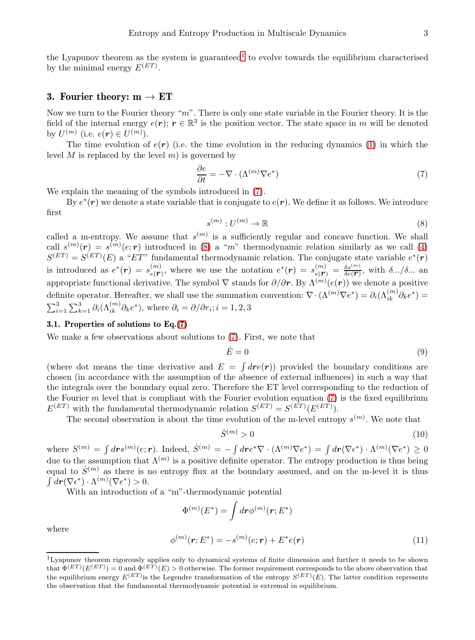the Lyapunov theorem as the system is guaranteed<sup>[1](#page-2-0)</sup> to evolve towards the equilibrium characterised by the minimal energy  $E^{(ET)}$ .

# <span id="page-2-7"></span>3. Fourier theory:  $m \to ET$

Now we turn to the Fourier theory " $m$ ". There is only one state variable in the Fourier theory. It is the field of the internal energy  $e(r)$ ;  $r \in \mathbb{R}^3$  is the position vector. The state space in m will be denoted by  $U^{(m)}$  (i.e.  $e(r) \in U^{(m)}$ ).

The time evolution of  $e(r)$  (i.e. the time evolution in the reducing dynamics [\(1\)](#page-0-0) in which the level  $M$  is replaced by the level  $m$ ) is governed by

<span id="page-2-1"></span>
$$
\frac{\partial e}{\partial t} = -\nabla \cdot (\Lambda^{(m)} \nabla e^*)
$$
\n(7)

We explain the meaning of the symbols introduced in [\(7\)](#page-2-1).

By  $e^*(r)$  we denote a state variable that is conjugate to  $e(r)$ . We define it as follows. We introduce first

<span id="page-2-2"></span>
$$
s^{(m)}: U^{(m)} \to \mathbb{R} \tag{8}
$$

called a m-entropy. We assume that  $s^{(m)}$  is a sufficiently regular and concave function. We shall call  $s^{(m)}(\mathbf{r}) = s^{(m)}(e;\mathbf{r})$  introduced in [\(8\)](#page-2-2) a "m" thermodynamic relation similarly as we call [\(4\)](#page-1-2)  $S^{(ET)} = S^{(ET)}(E)$  a "ET" fundamental thermodynamic relation. The conjugate state variable  $e^*(r)$ is introduced as  $e^*(r) = s_{e(\mathbf{r})}^{(m)}$ , where we use the notation  $e^*(r) = s_{e(\mathbf{r})}^{(m)} = \frac{\delta s^{(m)}}{\delta e(\mathbf{r})}$ , with  $\delta .../\delta ...$  and appropriate functional derivative. The symbol  $\nabla$  stands for  $\partial/\partial r$ . By  $\Lambda^{(m)}(e(r))$  we denote a positive definite operator. Hereafter, we shall use the summation convention:  $\nabla \cdot (\Lambda^{(m)} \nabla e^*) = \partial_i (\Lambda^{(m)}_{ik} \partial_k e^*) =$  $\sum_{i=1}^{3} \sum_{k=1}^{3} \partial_i (\Lambda_{ik}^{(m)} \partial_k e^*),$  where  $\partial_i = \partial / \partial r_i$ ;  $i = 1, 2, 3$ 

#### <span id="page-2-6"></span>3.1. Properties of solutions to Eq.[\(7\)](#page-2-1)

We make a few observations about solutions to  $(7)$ . First, we note that

<span id="page-2-3"></span>
$$
\dot{E} = 0 \tag{9}
$$

(where dot means the time derivative and  $E = \int dre(\mathbf{r}))$  provided the boundary conditions are chosen (in accordance with the assumption of the absence of external influences) in such a way that the integrals over the boundary equal zero. Therefore the ET level corresponding to the reduction of the Fourier  $m$  level that is compliant with the Fourier evolution equation [\(7\)](#page-2-1) is the fixed equilibrium  $E^{(ET)}$  with the fundamental thermodynamic relation  $S^{(ET)} = S^{(ET)}(E^{(ET)})$ .

The second observation is about the time evolution of the m-level entropy  $s^{(m)}$ . We note that

<span id="page-2-4"></span>
$$
\dot{S}^{(m)} > 0\tag{10}
$$

where  $S^{(m)} = \int dr s^{(m)}(e; r)$ . Indeed,  $\dot{S}^{(m)} = -\int dr e^{*} \nabla \cdot (\Lambda^{(m)} \nabla e^{*}) = \int dr (\nabla e^{*}) \cdot \Lambda^{(m)}(\nabla e^{*}) \geq 0$ due to the assumption that  $\Lambda^{(m)}$  is a positive definite operator. The entropy production is thus being equal to  $\dot{S}^{(m)}$  as there is no entropy flux at the boundary assumed, and on the m-level it is thus  $\int d\boldsymbol{r} (\nabla \epsilon^*) \cdot \Lambda^{(m)}(\nabla e^*) > 0.$ 

With an introduction of a "m"-thermodynamic potential

$$
\Phi^{(m)}(E^*)=\int d\bm{r} \phi^{(m)}(\bm{r};E^*)
$$

where

<span id="page-2-5"></span>
$$
\phi^{(m)}(\mathbf{r}; E^*) = -s^{(m)}(e; \mathbf{r}) + E^*e(\mathbf{r})
$$
\n(11)

<span id="page-2-0"></span><sup>1</sup>Lyapunov theorem rigorously applies only to dynamical systems of finite dimension and further it needs to be shown that  $\Phi^{(ET)}(E^{(ET)}) = 0$  and  $\Phi^{(ET)}(E) > 0$  otherwise. The former requirement corresponds to the above observation that the equilibrium energy  $E^{(ET)}$  is the Legendre transformation of the entropy  $S^{(ET)}(E)$ . The latter condition represents the observation that the fundamental thermodynamic potential is extremal in equilibrium.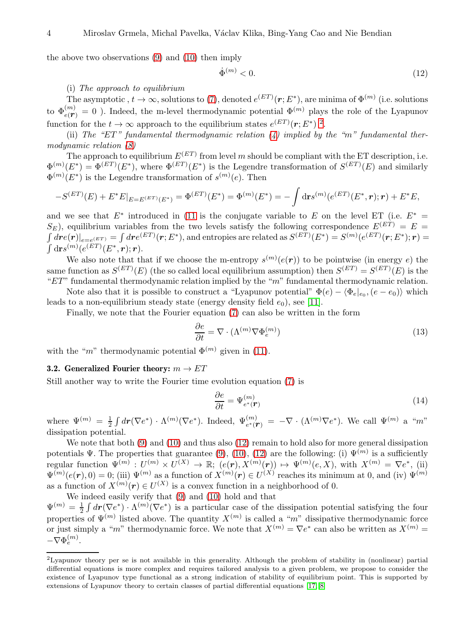the above two observations [\(9\)](#page-2-3) and [\(10\)](#page-2-4) then imply

<span id="page-3-1"></span>
$$
\dot{\Phi}^{(m)} < 0. \tag{12}
$$

#### (i) The approach to equilibrium

The asymptotic ,  $t \to \infty$ , solutions to [\(7\)](#page-2-1), denoted  $e^{(ET)}(r; E^*)$ , are minima of  $\Phi^{(m)}$  (i.e. solutions to  $\Phi_{e(\mathbf{r})}^{(m)} = 0$ ). Indeed, the m-level thermodynamic potential  $\Phi^{(m)}$  plays the role of the Lyapunov function for the  $t \to \infty$  approach to the equilibrium states  $e^{(ET)}(r; E^*)$ <sup>[2](#page-3-0)</sup>.

(ii) The "ET" fundamental thermodynamic relation  $(4)$  implied by the "m" fundamental thermodynamic relation [\(8\)](#page-2-2)

The approach to equilibrium  $E^{(ET)}$  from level m should be compliant with the ET description, i.e.  $\Phi^{(m)}(E^*) = \Phi^{(ET)}(E^*)$ , where  $\Phi^{(ET)}(E^*)$  is the Legendre transformation of  $S^{(ET)}(E)$  and similarly  $\Phi^{(m)}(E^*)$  is the Legendre transformation of  $s^{(m)}(e)$ . Then

$$
-S^{(ET)}(E) + E^*E|_{E=E^{(ET)}(E^*)} = \Phi^{(ET)}(E^*) = \Phi^{(m)}(E^*) = -\int d\mathbf{r} s^{(m)}(e^{(ET)}(E^*, \mathbf{r}); \mathbf{r}) + E^*E,
$$

and we see that  $E^*$  introduced in [\(11](#page-2-5) is the conjugate variable to E on the level ET (i.e.  $E^*$  =  $S_E$ ), equilibrium variables from the two levels satisfy the following correspondence  $E^{(ET)} = E =$  $\int d\bm{r} e(\bm{r})|_{e=e(ET)} = \int d\bm{r} e^{(ET)}(\bm{r};E^*),$  and entropies are related as  $S^{(ET)}(E^*)=S^{(m)}(e^{(ET)}(\bm{r};E^*); \bm{r})=$  $\int \mathrm{d}\mathbf{r} s^{(m)}(e^{(ET)}(E^*,\bm{r});\bm{r}).$ 

We also note that that if we choose the m-entropy  $s^{(m)}(e(r))$  to be pointwise (in energy e) the same function as  $S^{(ET)}(E)$  (the so called local equilibrium assumption) then  $S^{(ET)} = S^{(ET)}(E)$  is the " $ET$ " fundamental thermodynamic relation implied by the "m" fundamental thermodynamic relation.

Note also that it is possible to construct a "Lyapunov potential"  $\Phi(e) - \langle \Phi_e |_{e_0}, (e - e_0) \rangle$  which leads to a non-equilibrium steady state (energy density field  $e_0$ ), see [\[11\]](#page-13-0).

Finally, we note that the Fourier equation [\(7\)](#page-2-1) can also be written in the form

<span id="page-3-4"></span>
$$
\frac{\partial e}{\partial t} = \nabla \cdot (\Lambda^{(m)} \nabla \Phi_e^{(m)}) \tag{13}
$$

<span id="page-3-2"></span>with the "m" thermodynamic potential  $\Phi^{(m)}$  given in [\(11\)](#page-2-5).

#### 3.2. Generalized Fourier theory:  $m \rightarrow ET$

Still another way to write the Fourier time evolution equation [\(7\)](#page-2-1) is

<span id="page-3-3"></span>
$$
\frac{\partial e}{\partial t} = \Psi_{e^*}^{(m)}(14)
$$

where  $\Psi^{(m)} = \frac{1}{2} \int d\mathbf{r} (\nabla e^*) \cdot \Lambda^{(m)} (\nabla e^*)$ . Indeed,  $\Psi_{e^*(\mathbf{r})}^{(m)} = -\nabla \cdot (\Lambda^{(m)} \nabla e^*)$ . We call  $\Psi^{(m)}$  a "m" dissipation potential.

We note that both  $(9)$  and  $(10)$  and thus also  $(12)$  remain to hold also for more general dissipation potentials  $\Psi$ . The properties that guarantee [\(9\)](#page-2-3), [\(10\)](#page-2-4), [\(12\)](#page-3-1) are the following: (i)  $\Psi^{(m)}$  is a sufficiently regular function  $\Psi^{(m)}: U^{(m)} \times U^{(X)} \to \mathbb{R}; (e(\mathbf{r}), X^{(m)}(\mathbf{r})) \mapsto \Psi^{(m)}(e, X)$ , with  $X^{(m)} = \nabla e^*$ , (ii)  $\Psi^{(m)}(e(\mathbf{r}),0) = 0$ ; (iii)  $\Psi^{(m)}$  as a function of  $X^{(m)}(\mathbf{r}) \in U^{(X)}$  reaches its minimum at 0, and (iv)  $\Psi^{(m)}$ as a function of  $X^{(m)}(\mathbf{r}) \in U^{(X)}$  is a convex function in a neighborhood of 0.

We indeed easily verify that [\(9\)](#page-2-3) and [\(10\)](#page-2-4) hold and that  $\Psi^{(m)} = \frac{1}{2} \int d\mathbf{r} (\nabla e^*) \cdot \Lambda^{(m)} (\nabla e^*)$  is a particular case of the dissipation potential satisfying the four properties of  $\Psi^{(m)}$  listed above. The quantity  $X^{(m)}$  is called a "m" dissipative thermodynamic force or just simply a "m" thermodynamic force. We note that  $X^{(m)} = \nabla e^*$  can also be written as  $X^{(m)} =$  $-\nabla \Phi_e^{(m)}$ .

<span id="page-3-0"></span><sup>2</sup>Lyapunov theory per se is not available in this generality. Although the problem of stability in (nonlinear) partial differential equations is more complex and requires tailored analysis to a given problem, we propose to consider the existence of Lyapunov type functional as a strong indication of stability of equilibrium point. This is supported by extensions of Lyapunov theory to certain classes of partial differential equations [\[17,](#page-13-1) [8\]](#page-13-2)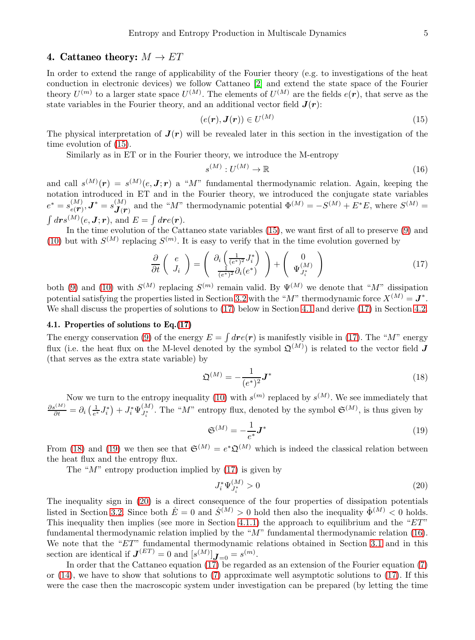# <span id="page-4-7"></span>4. Cattaneo theory:  $M \to ET$

In order to extend the range of applicability of the Fourier theory (e.g. to investigations of the heat conduction in electronic devices) we follow Cattaneo [\[2\]](#page-12-0) and extend the state space of the Fourier theory  $U^{(m)}$  to a larger state space  $U^{(M)}$ . The elements of  $U^{(M)}$  are the fields  $e(\mathbf{r})$ , that serve as the state variables in the Fourier theory, and an additional vector field  $J(r)$ :

<span id="page-4-0"></span>
$$
(e(\mathbf{r}), \mathbf{J}(\mathbf{r})) \in U^{(M)} \tag{15}
$$

The physical interpretation of  $J(r)$  will be revealed later in this section in the investigation of the time evolution of [\(15\)](#page-4-0).

Similarly as in ET or in the Fourier theory, we introduce the M-entropy

<span id="page-4-6"></span>
$$
s^{(M)}: U^{(M)} \to \mathbb{R} \tag{16}
$$

and call  $s^{(M)}(r) = s^{(M)}(e, \mathbf{J}; r)$  a "M" fundamental thermodynamic relation. Again, keeping the notation introduced in ET and in the Fourier theory, we introduced the conjugate state variables  $e^* = s_{e(T)}^{(M)}, \boldsymbol{J}^* = s_{\boldsymbol{J}(T)}^{(M)}$  and the "M" thermodynamic potential  $\Phi^{(M)} = -S^{(M)} + E^*E$ , where  $S^{(M)} =$  $\int d\boldsymbol{r} s^{(M)}(e,\boldsymbol{J};\boldsymbol{r}), \text{ and } E=\int d\boldsymbol{r} e(\boldsymbol{r}).$ 

In the time evolution of the Cattaneo state variables [\(15\)](#page-4-0), we want first of all to preserve [\(9\)](#page-2-3) and [\(10\)](#page-2-4) but with  $S^{(M)}$  replacing  $S^{(m)}$ . It is easy to verify that in the time evolution governed by

<span id="page-4-1"></span>
$$
\frac{\partial}{\partial t}\left(\begin{array}{c}e\\J_i\end{array}\right)=\left(\begin{array}{c}\partial_i\left(\frac{1}{(e^*)^2}J_i^*\right)\\ \frac{1}{(e^*)^2}\partial_i(e^*)\end{array}\right)+\left(\begin{array}{c}0\\ \Psi_{J_i^*}^{(M)}\end{array}\right)
$$
(17)

both [\(9\)](#page-2-3) and [\(10\)](#page-2-4) with  $S^{(M)}$  replacing  $S^{(m)}$  remain valid. By  $\Psi^{(M)}$  we denote that "M" dissipation potential satisfying the properties listed in Section [3.2](#page-3-2) with the " $M$ " thermodynamic force  $X^{(M)} = J^*$ . We shall discuss the properties of solutions to  $(17)$  below in Section [4.1](#page-4-2) and derive  $(17)$  in Section [4.2.](#page-5-0)

## <span id="page-4-2"></span>4.1. Properties of solutions to Eq.[\(17\)](#page-4-1)

The energy conservation [\(9\)](#page-2-3) of the energy  $E = \int d\mathbf{r} e(\mathbf{r})$  is manifestly visible in [\(17\)](#page-4-1). The "M" energy flux (i.e. the heat flux on the M-level denoted by the symbol  $\mathfrak{Q}^{(M)}$ ) is related to the vector field  $J$ (that serves as the extra state variable) by

<span id="page-4-3"></span>
$$
\mathfrak{Q}^{(M)} = -\frac{1}{(e^*)^2} \mathbf{J}^* \tag{18}
$$

Now we turn to the entropy inequality [\(10\)](#page-2-4) with  $s^{(m)}$  replaced by  $s^{(M)}$ . We see immediately that  $\frac{\partial s^{(M)}}{\partial t} = \partial_i \left( \frac{1}{e^*} J_i^* \right) + J_i^* \Psi_{J_i^*}^{(M)}$ . The "*M*" entropy flux, denoted by the symbol  $\mathfrak{S}^{(M)}$ , is thus given by

<span id="page-4-4"></span>
$$
\mathfrak{S}^{(M)} = -\frac{1}{e^*} \mathbf{J}^* \tag{19}
$$

From [\(18\)](#page-4-3) and [\(19\)](#page-4-4) we then see that  $\mathfrak{S}^{(M)} = e^*\mathfrak{Q}^{(M)}$  which is indeed the classical relation between the heat flux and the entropy flux.

The " $M$ " entropy production implied by  $(17)$  is given by

<span id="page-4-5"></span>
$$
J_i^* \Psi_{J_i^*}^{(M)} > 0 \tag{20}
$$

The inequality sign in [\(20\)](#page-4-5) is a direct consequence of the four properties of dissipation potentials listed in Section [3.2.](#page-3-2) Since both  $\dot{E} = 0$  and  $\dot{S}^{(M)} > 0$  hold then also the inequality  $\dot{\Phi}^{(M)} < 0$  holds. This inequality then implies (see more in Section [4.1.1\)](#page-5-1) the approach to equilibrium and the " $ET$ " fundamental thermodynamic relation implied by the "M" fundamental thermodynamic relation [\(16\)](#page-4-6). We note that the " $ET$ " fundamental thermodynamic relations obtained in Section [3.1](#page-2-6) and in this section are identical if  $J^{(ET)} = 0$  and  $[s^{(M)}]$  $J_{=0} = s^{(m)}$ .

In order that the Cattaneo equation  $(1\tilde{7})$  be regarded as an extension of the Fourier equation [\(7\)](#page-2-1) or [\(14\)](#page-3-3), we have to show that solutions to [\(7\)](#page-2-1) approximate well asymptotic solutions to [\(17\)](#page-4-1). If this were the case then the macroscopic system under investigation can be prepared (by letting the time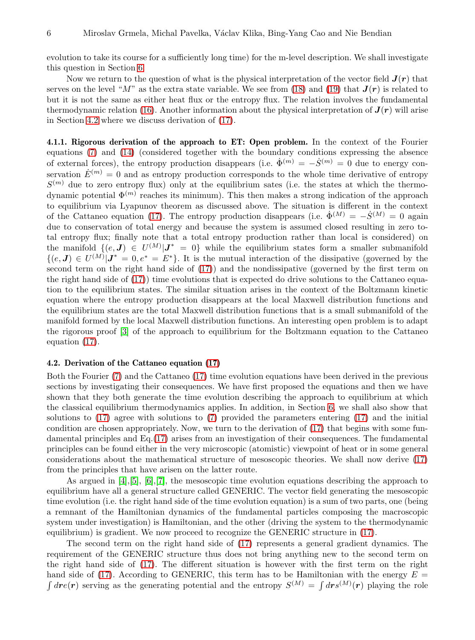evolution to take its course for a sufficiently long time) for the m-level description. We shall investigate this question in Section [6.](#page-8-0)

Now we return to the question of what is the physical interpretation of the vector field  $J(r)$  that serves on the level "M" as the extra state variable. We see from [\(18\)](#page-4-3) and [\(19\)](#page-4-4) that  $J(r)$  is related to but it is not the same as either heat flux or the entropy flux. The relation involves the fundamental thermodynamic relation [\(16\)](#page-4-6). Another information about the physical interpretation of  $J(r)$  will arise in Section [4.2](#page-5-0) where we discuss derivation of [\(17\)](#page-4-1).

<span id="page-5-1"></span>4.1.1. Rigorous derivation of the approach to ET: Open problem. In the context of the Fourier equations [\(7\)](#page-2-1) and [\(14\)](#page-3-3) (considered together with the boundary conditions expressing the absence of external forces), the entropy production disappears (i.e.  $\dot{\Phi}^{(m)} = -\dot{S}^{(m)} = 0$  due to energy conservation  $\dot{E}^{(m)}=0$  and as entropy production corresponds to the whole time derivative of entropy  $S^{(m)}$  due to zero entropy flux) only at the equilibrium sates (i.e. the states at which the thermodynamic potential  $\Phi^{(m)}$  reaches its minimum). This then makes a strong indication of the approach to equilibrium via Lyapunov theorem as discussed above. The situation is different in the context of the Cattaneo equation [\(17\)](#page-4-1). The entropy production disappears (i.e.  $\dot{\Phi}^{(M)} = -\dot{S}^{(M)} = 0$  again due to conservation of total energy and because the system is assumed closed resulting in zero total entropy flux; finally note that a total entropy production rather than local is considered) on the manifold  $\{(e, J) \in U^{(M)} | J^* = 0\}$  while the equilibrium states form a smaller submanifold  $\{(e, J) \in U^{(M)} | J^* = 0, e^* = E^* \}.$  It is the mutual interaction of the dissipative (governed by the second term on the right hand side of [\(17\)](#page-4-1)) and the nondissipative (governed by the first term on the right hand side of [\(17\)](#page-4-1)) time evolutions that is expected do drive solutions to the Cattaneo equation to the equilibrium states. The similar situation arises in the context of the Boltzmann kinetic equation where the entropy production disappears at the local Maxwell distribution functions and the equilibrium states are the total Maxwell distribution functions that is a small submanifold of the manifold formed by the local Maxwell distribution functions. An interesting open problem is to adapt the rigorous proof [\[3\]](#page-12-1) of the approach to equilibrium for the Boltzmann equation to the Cattaneo equation [\(17\)](#page-4-1).

#### <span id="page-5-0"></span>4.2. Derivation of the Cattaneo equation [\(17\)](#page-4-1)

Both the Fourier [\(7\)](#page-2-1) and the Cattaneo [\(17\)](#page-4-1) time evolution equations have been derived in the previous sections by investigating their consequences. We have first proposed the equations and then we have shown that they both generate the time evolution describing the approach to equilibrium at which the classical equilibrium thermodynamics applies. In addition, in Section [6,](#page-8-0) we shall also show that solutions to [\(17\)](#page-4-1) agree with solutions to [\(7\)](#page-2-1) provided the parameters entering [\(17\)](#page-4-1) and the initial condition are chosen appropriately. Now, we turn to the derivation of [\(17\)](#page-4-1) that begins with some fundamental principles and Eq.[\(17\)](#page-4-1) arises from an investigation of their consequences. The fundamental principles can be found either in the very microscopic (atomistic) viewpoint of heat or in some general considerations about the mathematical structure of mesoscopic theories. We shall now derive [\(17\)](#page-4-1) from the principles that have arisen on the latter route.

As argued in [\[4\]](#page-12-2),[\[5\]](#page-13-3), [\[6\]](#page-13-4),[\[7\]](#page-13-5), the mesoscopic time evolution equations describing the approach to equilibrium have all a general structure called GENERIC. The vector field generating the mesoscopic time evolution (i.e. the right hand side of the time evolution equation) is a sum of two parts, one (being a remnant of the Hamiltonian dynamics of the fundamental particles composing the macroscopic system under investigation) is Hamiltonian, and the other (driving the system to the thermodynamic equilibrium) is gradient. We now proceed to recognize the GENERIC structure in [\(17\)](#page-4-1).

The second term on the right hand side of [\(17\)](#page-4-1) represents a general gradient dynamics. The requirement of the GENERIC structure thus does not bring anything new to the second term on the right hand side of [\(17\)](#page-4-1). The different situation is however with the first term on the right hand side of [\(17\)](#page-4-1). According to GENERIC, this term has to be Hamiltonian with the energy  $E =$  $\int dr e(r)$  serving as the generating potential and the entropy  $S^{(M)} = \int dr s^{(M)}(r)$  playing the role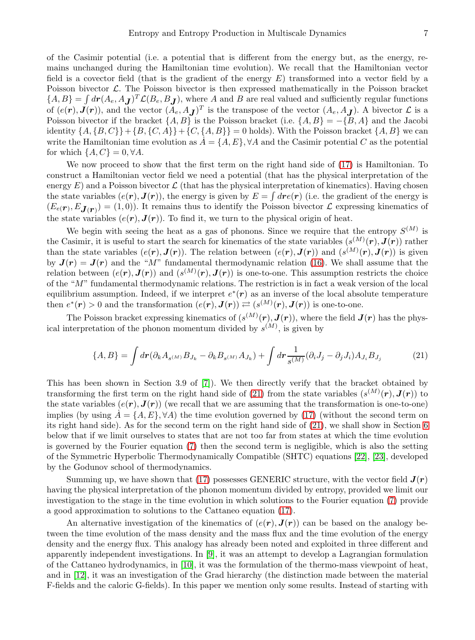of the Casimir potential (i.e. a potential that is different from the energy but, as the energy, remains unchanged during the Hamiltonian time evolution). We recall that the Hamiltonian vector field is a covector field (that is the gradient of the energy  $E$ ) transformed into a vector field by a Poisson bivector  $\mathcal{L}$ . The Poisson bivector is then expressed mathematically in the Poisson bracket  ${A, B} = \int d\mathbf{r}(A_e, A_J)^T \mathcal{L}(B_e, B_J)$ , where A and B are real valued and sufficiently regular functions of  $(e(\mathbf{r}), \mathbf{J}(\mathbf{r}))$ , and the vector  $(A_e, A_{\mathbf{J}})^T$  is the transpose of the vector  $(A_e, A_{\mathbf{J}})$ . A bivector  $\mathcal{L}$  is a Poisson bivector if the bracket  $\{A, B\}$  is the Poisson bracket (i.e.  $\{A, B\} = -\{B, A\}$  and the Jacobi identity  $\{A, {B, C}\} + {B, {C, A}} + {C, {A, B}} = 0$  holds). With the Poisson bracket  ${A, B}$  we can write the Hamiltonian time evolution as  $\dot{A} = \{A, E\}, \forall A$  and the Casimir potential C as the potential for which  $\{A, C\} = 0, \forall A$ .

We now proceed to show that the first term on the right hand side of  $(17)$  is Hamiltonian. To construct a Hamiltonian vector field we need a potential (that has the physical interpretation of the energy  $E$ ) and a Poisson bivector  $\mathcal L$  (that has the physical interpretation of kinematics). Having chosen the state variables  $(e(\mathbf{r}), \mathbf{J}(\mathbf{r}))$ , the energy is given by  $E = \int d\mathbf{r} e(\mathbf{r})$  (i.e. the gradient of the energy is  $(E_{e(\mathbf{r}), E_{\mathbf{J}(\mathbf{r})}) = (1, 0)$ . It remains thus to identify the Poisson bivector  $\mathcal{L}$  expressing kinematics of the state variables  $(e(r), J(r))$ . To find it, we turn to the physical origin of heat.

We begin with seeing the heat as a gas of phonons. Since we require that the entropy  $S^{(M)}$  is the Casimir, it is useful to start the search for kinematics of the state variables  $(s^{(M)}(r), J(r))$  rather than the state variables  $(e(\mathbf{r}), \mathbf{J}(\mathbf{r}))$ . The relation between  $(e(\mathbf{r}), \mathbf{J}(\mathbf{r}))$  and  $(s^{(M)}(\mathbf{r}), \mathbf{J}(\mathbf{r}))$  is given by  $J(r) = J(r)$  and the "M" fundamental thermodynamic relation [\(16\)](#page-4-6). We shall assume that the relation between  $(e(\mathbf{r}), \mathbf{J}(\mathbf{r}))$  and  $(s^{(M)}(\mathbf{r}), \mathbf{J}(\mathbf{r}))$  is one-to-one. This assumption restricts the choice of the "M" fundamental thermodynamic relations. The restriction is in fact a weak version of the local equilibrium assumption. Indeed, if we interpret  $e^*(r)$  as an inverse of the local absolute temperature then  $e^*(r) > 0$  and the transformation  $(e(r), \mathbf{J}(r)) \rightleftarrows (s^{(M)}(r), \mathbf{J}(r))$  is one-to-one.

The Poisson bracket expressing kinematics of  $(s^{(M)}(r), J(r))$ , where the field  $J(r)$  has the physical interpretation of the phonon momentum divided by  $s^{(M)}$ , is given by

<span id="page-6-0"></span>
$$
\{A,B\} = \int dr \left(\partial_k A_{s^{(M)}} B_{J_k} - \partial_k B_{s^{(M)}} A_{J_k}\right) + \int dr \frac{1}{s^{(M)}} (\partial_i J_j - \partial_j J_i) A_{J_i} B_{J_j}
$$
(21)

This has been shown in Section 3.9 of [\[7\]](#page-13-5)). We then directly verify that the bracket obtained by transforming the first term on the right hand side of [\(21\)](#page-6-0) from the state variables  $(s^{(M)}(r), J(r))$  to the state variables  $(e(r), J(r))$  (we recall that we are assuming that the transformation is one-to-one) implies (by using  $A = \{A, E\}, \forall A$ ) the time evolution governed by [\(17\)](#page-4-1) (without the second term on its right hand side). As for the second term on the right hand side of [\(21\)](#page-6-0), we shall show in Section [6](#page-8-0) below that if we limit ourselves to states that are not too far from states at which the time evolution is governed by the Fourier equation [\(7\)](#page-2-1) then the second term is negligible, which is also the setting of the Symmetric Hyperbolic Thermodynamically Compatible (SHTC) equations [\[22\]](#page-13-6), [\[23\]](#page-13-7), developed by the Godunov school of thermodynamics.

Summing up, we have shown that [\(17\)](#page-4-1) possesses GENERIC structure, with the vector field  $J(r)$ having the physical interpretation of the phonon momentum divided by entropy, provided we limit our investigation to the stage in the time evolution in which solutions to the Fourier equation [\(7\)](#page-2-1) provide a good approximation to solutions to the Cattaneo equation [\(17\)](#page-4-1).

An alternative investigation of the kinematics of  $(e(\mathbf{r}), \mathbf{J}(\mathbf{r}))$  can be based on the analogy between the time evolution of the mass density and the mass flux and the time evolution of the energy density and the energy flux. This analogy has already been noted and exploited in three different and apparently independent investigations. In [\[9\]](#page-13-8), it was an attempt to develop a Lagrangian formulation of the Cattaneo hydrodynamics, in [\[10\]](#page-13-9), it was the formulation of the thermo-mass viewpoint of heat, and in [\[12\]](#page-13-10), it was an investigation of the Grad hierarchy (the distinction made between the material F-fields and the caloric G-fields). In this paper we mention only some results. Instead of starting with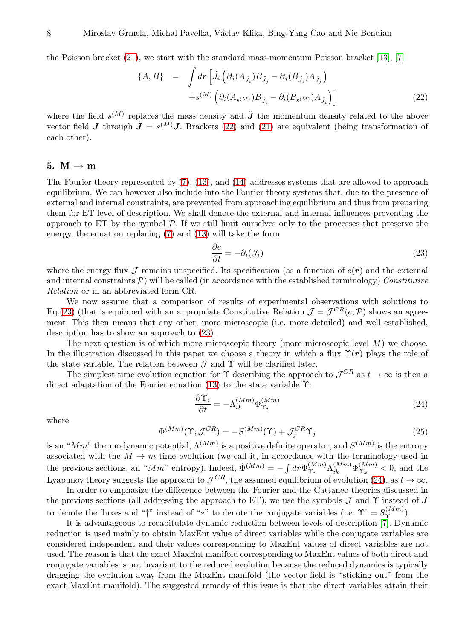the Poisson bracket  $(21)$ , we start with the standard mass-momentum Poisson bracket  $[13]$ ,  $[7]$ 

<span id="page-7-0"></span>
$$
\{A, B\} = \int d\mathbf{r} \left[ \hat{J}_i \left( \partial_j (A_{\hat{J}_i}) B_{\hat{J}_j} - \partial_j (B_{\hat{J}_i}) A_{\hat{J}_j} \right) \right. \\ \left. + s^{(M)} \left( \partial_i (A_{s^{(M)}}) B_{\hat{J}_i} - \partial_i (B_{s^{(M)}}) A_{\hat{J}_i} \right) \right]
$$
\n(22)

where the field  $s^{(M)}$  replaces the mass density and  $\hat{J}$  the momentum density related to the above vector field **J** through  $\hat{\mathbf{J}} = s^{(M)}\mathbf{J}$ . Brackets [\(22\)](#page-7-0) and [\(21\)](#page-6-0) are equivalent (being transformation of each other).

#### <span id="page-7-3"></span>5.  $M \rightarrow m$

The Fourier theory represented by [\(7\)](#page-2-1), [\(13\)](#page-3-4), and [\(14\)](#page-3-3) addresses systems that are allowed to approach equilibrium. We can however also include into the Fourier theory systems that, due to the presence of external and internal constraints, are prevented from approaching equilibrium and thus from preparing them for ET level of description. We shall denote the external and internal influences preventing the approach to  $ET$  by the symbol  $\mathcal{P}$ . If we still limit ourselves only to the processes that preserve the energy, the equation replacing [\(7\)](#page-2-1) and [\(13\)](#page-3-4) will take the form

<span id="page-7-1"></span>
$$
\frac{\partial e}{\partial t} = -\partial_i(\mathcal{J}_i) \tag{23}
$$

where the energy flux  $\mathcal J$  remains unspecified. Its specification (as a function of  $e(\mathbf r)$ ) and the external and internal constraints  $P$ ) will be called (in accordance with the established terminology) Constitutive Relation or in an abbreviated form CR.

We now assume that a comparison of results of experimental observations with solutions to Eq.[\(23\)](#page-7-1) (that is equipped with an appropriate Constitutive Relation  $\mathcal{J} = \mathcal{J}^{CR}(e, \mathcal{P})$  shows an agreement. This then means that any other, more microscopic (i.e. more detailed) and well established, description has to show an approach to [\(23\)](#page-7-1).

The next question is of which more microscopic theory (more microscopic level  $M$ ) we choose. In the illustration discussed in this paper we choose a theory in which a flux  $\Upsilon(r)$  plays the role of the state variable. The relation between  $\mathcal J$  and  $\Upsilon$  will be clarified later.

The simplest time evolution equation for  $\Upsilon$  describing the approach to  $\mathcal{J}^{CR}$  as  $t \to \infty$  is then a direct adaptation of the Fourier equation [\(13\)](#page-3-4) to the state variable Υ:

<span id="page-7-2"></span>
$$
\frac{\partial \Upsilon_i}{\partial t} = -\Lambda_{ik}^{(Mm)} \Phi_{\Upsilon_i}^{(Mm)}
$$
\n(24)

where

$$
\Phi^{(Mm)}(\Upsilon; \mathcal{J}^{CR}) = -S^{(Mm)}(\Upsilon) + \mathcal{J}_j^{CR}\Upsilon_j
$$
\n(25)

is an " $Mm$ " thermodynamic potential,  $\Lambda^{(Mm)}$  is a positive definite operator, and  $S^{(Mm)}$  is the entropy associated with the  $M \to m$  time evolution (we call it, in accordance with the terminology used in the previous sections, an " $Mm$ " entropy). Indeed,  $\dot{\Phi}^{(Mm)} = -\int d\mathbf{r} \Phi_{\Upsilon_i}^{(Mm)}$  $\Lambda^{(Mm)}_{ik} \Lambda^{(Mm)}_{ik} \Phi^{(Mm)}_{\Upsilon_k}$  $\hat{\Upsilon}_k^{(Mm)}$  < 0, and the Lyapunov theory suggests the approach to  $\mathcal{J}^{CR}$ , the assumed equilibrium of evolution [\(24\)](#page-7-2), as  $t \to \infty$ .

In order to emphasize the difference between the Fourier and the Cattaneo theories discussed in the previous sections (all addressing the approach to ET), we use the symbols  $\mathcal J$  and  $\Upsilon$  instead of  $J$ to denote the fluxes and "†" instead of "\*" to denote the conjugate variables (i.e.  $\Upsilon^{\dagger} = S_{\Upsilon}^{(Mm)}$ ).

It is advantageous to recapitulate dynamic reduction between levels of description [\[7\]](#page-13-5). Dynamic reduction is used mainly to obtain MaxEnt value of direct variables while the conjugate variables are considered independent and their values corresponding to MaxEnt values of direct variables are not used. The reason is that the exact MaxEnt manifold corresponding to MaxEnt values of both direct and conjugate variables is not invariant to the reduced evolution because the reduced dynamics is typically dragging the evolution away from the MaxEnt manifold (the vector field is "sticking out" from the exact MaxEnt manifold). The suggested remedy of this issue is that the direct variables attain their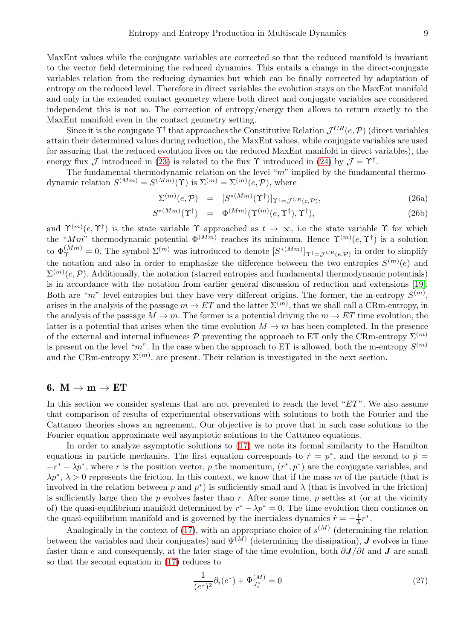MaxEnt values while the conjugate variables are corrected so that the reduced manifold is invariant to the vector field determining the reduced dynamics. This entails a change in the direct-conjugate variables relation from the reducing dynamics but which can be finally corrected by adaptation of entropy on the reduced level. Therefore in direct variables the evolution stays on the MaxEnt manifold and only in the extended contact geometry where both direct and conjugate variables are considered independent this is not so. The correction of entropy/energy then allows to return exactly to the MaxEnt manifold even in the contact geometry setting.

Since it is the conjugate  $\Upsilon^{\dagger}$  that approaches the Constitutive Relation  $\mathcal{J}^{CR}(e, \mathcal{P})$  (direct variables attain their determined values during reduction, the MaxEnt values, while conjugate variables are used for assuring that the reduced evolution lives on the reduced MaxEnt manifold in direct variables), the energy flux  $\mathcal J$  introduced in [\(23\)](#page-7-1) is related to the flux  $\Upsilon$  introduced in [\(24\)](#page-7-2) by  $\mathcal J = \Upsilon^{\dagger}$ .

The fundamental thermodynamic relation on the level "m" implied by the fundamental thermodynamic relation  $S^{(Mm)} = S^{(Mm)}(\Upsilon)$  is  $\Sigma^{(m)} = \Sigma^{(m)}(e, \mathcal{P})$ , where

$$
\Sigma^{(m)}(e,\mathcal{P}) = [S^{*(Mm)}(\Upsilon^{\dagger})]_{\Upsilon^{\dagger} = \mathcal{J}^{CR}(e,\mathcal{P})},\tag{26a}
$$

$$
S^{*(Mm)}(\Upsilon^{\dagger}) = \Phi^{(Mm)}(\Upsilon^{(m)}(e,\Upsilon^{\dagger}),\Upsilon^{\dagger}), \qquad (26b)
$$

and  $\Upsilon^{(m)}(e,\Upsilon^{\dagger})$  is the state variable  $\Upsilon$  approached as  $t \to \infty$ , i.e the state variable  $\Upsilon$  for which the "Mm" thermodynamic potential  $\Phi^{(Mm)}$  reaches its minimum. Hence  $\Upsilon^{(m)}(e,\Upsilon^{\dagger})$  is a solution to  $\Phi_{\Upsilon}^{(Mm)} = 0$ . The symbol  $\Sigma^{(m)}$  was introduced to denote  $[S^{*(Mm)}]_{\Upsilon^{\dagger} = \mathcal{J}^{CR}(e,\mathcal{P})}$  in order to simplify the notation and also in order to emphasize the difference between the two entropies  $S^{(m)}(e)$  and  $\Sigma^{(m)}(e, \mathcal{P})$ . Additionally, the notation (starred entropies and fundamental thermodynamic potentials) is in accordance with the notation from earlier general discussion of reduction and extensions [\[19\]](#page-13-12). Both are "m" level entropies but they have very different origins. The former, the m-entropy  $S^{(m)}$ , arises in the analysis of the passage  $m \to ET$  and the latter  $\Sigma^{(m)}$ , that we shall call a CRm-entropy, in the analysis of the passage  $M \to m$ . The former is a potential driving the  $m \to ET$  time evolution, the latter is a potential that arises when the time evolution  $M \to m$  has been completed. In the presence of the external and internal influences  $\mathcal P$  preventing the approach to ET only the CRm-entropy  $\Sigma^{(m)}$ is present on the level "m". In the case when the approach to ET is allowed, both the m-entropy  $S^{(m)}$ and the CRm-entropy  $\Sigma^{(m)}$ , are present. Their relation is investigated in the next section.

#### <span id="page-8-0"></span>6.  $M \rightarrow m \rightarrow ET$

In this section we consider systems that are not prevented to reach the level " $ET$ ". We also assume that comparison of results of experimental observations with solutions to both the Fourier and the Cattaneo theories shows an agreement. Our objective is to prove that in such case solutions to the Fourier equation approximate well asymptotic solutions to the Cattaneo equations.

In order to analyze asymptotic solutions to [\(17\)](#page-4-1) we note its formal similarity to the Hamilton equations in particle mechanics. The first equation corresponds to  $\dot{r} = p^*$ , and the second to  $\dot{p} =$  $-r^* - \lambda p^*$ , where r is the position vector, p the momentum,  $(r^*, p^*)$  are the conjugate variables, and  $\lambda p^*, \lambda > 0$  represents the friction. In this context, we know that if the mass m of the particle (that is involved in the relation between p and  $p^*$ ) is sufficiently small and  $\lambda$  (that is involved in the friction) is sufficiently large then the  $p$  evolves faster than  $r$ . After some time,  $p$  settles at (or at the vicinity of) the quasi-equilibrium manifold determined by  $r^* - \lambda p^* = 0$ . The time evolution then continues on the quasi-equilibrium manifold and is governed by the inertialess dynamics  $\dot{r} = -\frac{1}{\lambda}r^*$ .

Analogically in the context of [\(17\)](#page-4-1), with an appropriate choice of  $s^{(M)}$  (determining the relation between the variables and their conjugates) and  $\Psi^{(M)}$  (determining the dissipation),  $J$  evolves in time faster than e and consequently, at the later stage of the time evolution, both  $\partial J/\partial t$  and J are small so that the second equation in [\(17\)](#page-4-1) reduces to

<span id="page-8-1"></span>
$$
\frac{1}{(e^*)^2} \partial_i (e^*) + \Psi_{J_i^*}^{(M)} = 0 \tag{27}
$$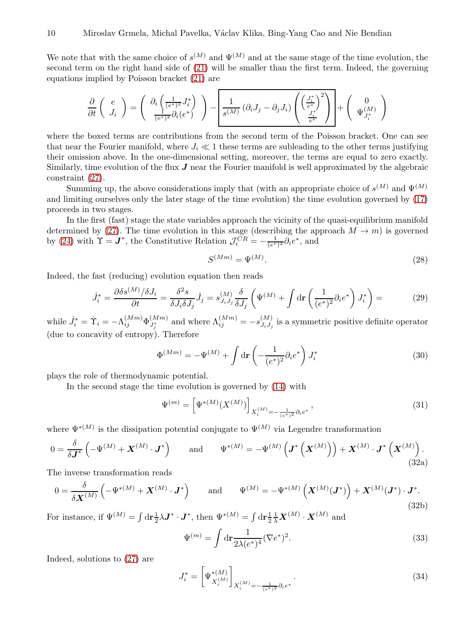We note that with the same choice of  $s^{(M)}$  and  $\Psi^{(M)}$  and at the same stage of the time evolution, the second term on the right hand side of [\(21\)](#page-6-0) will be smaller than the first term. Indeed, the governing equations implied by Poisson bracket [\(21\)](#page-6-0) are

$$
\frac{\partial}{\partial t}\left(\begin{array}{c} e \\ J_i \end{array}\right) = \left(\begin{array}{c} \partial_i \left(\frac{1}{(e^*)^2} J_i^* \right) \\ \frac{1}{(e^*)^2} \partial_i (e^*) \end{array}\right) - \left[\frac{1}{s^{(M)}} \left(\partial_i J_j - \partial_j J_i\right) \left(\begin{array}{c} \left(\frac{J_i^*}{e^*}\right)^2 \\ \frac{J_i^*}{e^*} \end{array}\right) + \left(\begin{array}{c} 0 \\ \Psi_{J_i^*}^{(M)} \end{array}\right) \right]
$$

where the boxed terms are contributions from the second term of the Poisson bracket. One can see that near the Fourier manifold, where  $J_i \ll 1$  these terms are subleading to the other terms justifying their omission above. In the one-dimensional setting, moreover, the terms are equal to zero exactly. Similarly, time evolution of the flux  $J$  near the Fourier manifold is well approximated by the algebraic constraint [\(27\)](#page-8-1).

Summing up, the above considerations imply that (with an appropriate choice of  $s^{(M)}$  and  $\Psi^{(M)}$ and limiting ourselves only the later stage of the time evolution) the time evolution governed by [\(17\)](#page-4-1) proceeds in two stages.

In the first (fast) stage the state variables approach the vicinity of the quasi-equilibrium manifold determined by [\(27\)](#page-8-1). The time evolution in this stage (describing the approach  $M \to m$ ) is governed by [\(24\)](#page-7-2) with  $\Upsilon = J^*$ , the Constitutive Relation  $\mathcal{J}_i^{CR} = -\frac{1}{(e^*)^2} \partial_i e^*$ , and

<span id="page-9-0"></span>
$$
S^{(Mm)} = \Psi^{(M)}.
$$
\n
$$
(28)
$$

Indeed, the fast (reducing) evolution equation then reads

$$
\dot{J}_i^* = \frac{\partial \delta s^{(M)}/\delta J_i}{\partial t} = \frac{\delta^2 s}{\delta J_i \delta J_j} \dot{J}_j = s^{(M)}_{J_i J_j} \frac{\delta}{\delta J_j} \left( \Psi^{(M)} + \int \mathrm{d}\mathbf{r} \left( \frac{1}{(e^*)^2} \partial_i e^* \right) J_i^* \right) = \tag{29}
$$

while  $\dot{J}_i^* = \dot{\Upsilon}_i = -\Lambda_{ij}^{(Mm)} \Phi_{J_j^*}^{(Mm)}$  and where  $\Lambda_{ij}^{(Mm)} = -s_{J_iJ_j}^{(M)}$  $J_i J_j$  is a symmetric positive definite operator (due to concavity of entropy). Therefore

$$
\Phi^{(Mm)} = -\Psi^{(M)} + \int d\mathbf{r} \left( -\frac{1}{(e^*)^2} \partial_i e^* \right) J_i^* \tag{30}
$$

plays the role of thermodynamic potential.

In the second stage the time evolution is governed by [\(14\)](#page-3-3) with

<span id="page-9-1"></span>
$$
\Psi^{(m)} = \left[\Psi^{*(M)}(X^{(M)})\right]_{X_i^{(M)} = -\frac{1}{(e^*)^2} \partial_i e^*},\tag{31}
$$

where  $\Psi^{*(M)}$  is the dissipation potential conjugate to  $\Psi^{(M)}$  via Legendre transformation

$$
0 = \frac{\delta}{\delta \mathbf{J}^*} \left( -\Psi^{(M)} + \mathbf{X}^{(M)} \cdot \mathbf{J}^* \right) \quad \text{and} \quad \Psi^{*(M)} = -\Psi^{(M)} \left( \mathbf{J}^* \left( \mathbf{X}^{(M)} \right) \right) + \mathbf{X}^{(M)} \cdot \mathbf{J}^* \left( \mathbf{X}^{(M)} \right). \tag{32a}
$$

The inverse transformation reads

$$
0 = \frac{\delta}{\delta \mathbf{X}^{(M)}} \left( -\Psi^{*(M)} + \mathbf{X}^{(M)} \cdot \mathbf{J}^* \right) \quad \text{and} \quad \Psi^{(M)} = -\Psi^{*(M)} \left( \mathbf{X}^{(M)} (\mathbf{J}^*) \right) + \mathbf{X}^{(M)} (\mathbf{J}^*) \cdot \mathbf{J}^* . \tag{32b}
$$

For instance, if  $\Psi^{(M)} = \int d\mathbf{r} \frac{1}{2} \lambda \mathbf{J}^* \cdot \mathbf{J}^*$ , then  $\Psi^{*(M)} = \int d\mathbf{r} \frac{1}{2} \frac{1}{\lambda} \mathbf{X}^{(M)} \cdot \mathbf{X}^{(M)}$  and

$$
\Psi^{(m)} = \int d\mathbf{r} \frac{1}{2\lambda (e^*)^4} (\nabla e^*)^2.
$$
\n(33)

Indeed, solutions to [\(27\)](#page-8-1) are

<span id="page-9-2"></span>
$$
J_i^* = \left[ \Psi_{X_i^{(M)}}^{*(M)} \right]_{X_i^{(M)} = -\frac{1}{(e^*)^2} \partial_i e^*} . \tag{34}
$$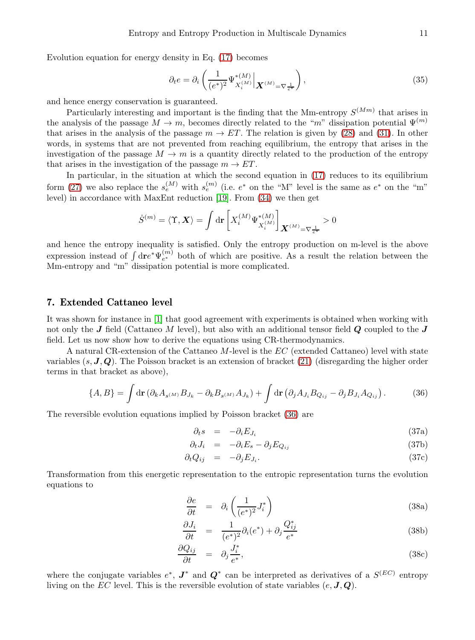Evolution equation for energy density in Eq. [\(17\)](#page-4-1) becomes

$$
\partial_t e = \partial_i \left( \frac{1}{(e^*)^2} \Psi_{X_i^{(M)}}^{*(M)} \Big| \mathbf{X}^{(M)} = \nabla \frac{1}{e^*} \right),\tag{35}
$$

and hence energy conservation is guaranteed.

Particularly interesting and important is the finding that the Mm-entropy  $S^{(M_m)}$  that arises in the analysis of the passage  $M \to m$ , becomes directly related to the "m" dissipation potential  $\Psi^{(m)}$ that arises in the analysis of the passage  $m \to ET$ . The relation is given by [\(28\)](#page-9-0) and [\(31\)](#page-9-1). In other words, in systems that are not prevented from reaching equilibrium, the entropy that arises in the investigation of the passage  $M \to m$  is a quantity directly related to the production of the entropy that arises in the investigation of the passage  $m \to ET$ .

In particular, in the situation at which the second equation in [\(17\)](#page-4-1) reduces to its equilibrium form [\(27\)](#page-8-1) we also replace the  $s_e^{(M)}$  with  $s_e^{(m)}$  (i.e.  $e^*$  on the "M" level is the same as  $e^*$  on the "m" level) in accordance with MaxEnt reduction [\[19\]](#page-13-12). From [\(34\)](#page-9-2) we then get

$$
\dot{S}^{(m)}=\langle \Upsilon,\boldsymbol{X}\rangle=\int\mathrm{d}\mathbf{r}\left[X_{i}^{(M)}\Psi_{X_{i}^{(M)}}^{*(M)}\right]_{\boldsymbol{X}^{(M)}=\nabla\frac{1}{e^*}}>0
$$

and hence the entropy inequality is satisfied. Only the entropy production on m-level is the above expression instead of  $\int d\mathbf{r} e^* \Psi_{e^*}^{(m)}$  both of which are positive. As a result the relation between the Mm-entropy and "m" dissipation potential is more complicated.

# 7. Extended Cattaneo level

It was shown for instance in [\[1\]](#page-12-3) that good agreement with experiments is obtained when working with not only the  $J$  field (Cattaneo M level), but also with an additional tensor field  $Q$  coupled to the  $J$ field. Let us now show how to derive the equations using CR-thermodynamics.

A natural CR-extension of the Cattaneo M-level is the EC (extended Cattaneo) level with state variables  $(s, J, Q)$ . The Poisson bracket is an extension of bracket [\(21\)](#page-6-0) (disregarding the higher order terms in that bracket as above),

<span id="page-10-0"></span>
$$
\{A,B\} = \int d\mathbf{r} \left(\partial_k A_{s^{(M)}} B_{J_k} - \partial_k B_{s^{(M)}} A_{J_k}\right) + \int d\mathbf{r} \left(\partial_j A_{J_i} B_{Q_{ij}} - \partial_j B_{J_i} A_{Q_{ij}}\right). \tag{36}
$$

The reversible evolution equations implied by Poisson bracket [\(36\)](#page-10-0) are

$$
\partial_t s = -\partial_i E_{J_i} \tag{37a}
$$

$$
\partial_t J_i = -\partial_i E_s - \partial_j E_{Q_{ij}} \tag{37b}
$$

$$
\partial_t Q_{ij} = -\partial_j E_{J_i}.\tag{37c}
$$

Transformation from this energetic representation to the entropic representation turns the evolution equations to

$$
\frac{\partial e}{\partial t} = \partial_i \left( \frac{1}{(e^*)^2} J_i^* \right) \tag{38a}
$$

$$
\frac{\partial J_i}{\partial t} = \frac{1}{(e^*)^2} \partial_i (e^*) + \partial_j \frac{Q_{ij}^*}{e^*}
$$
\n(38b)

$$
\frac{\partial Q_{ij}}{\partial t} = \partial_j \frac{J_i^*}{e^*},\tag{38c}
$$

where the conjugate variables  $e^*$ ,  $J^*$  and  $Q^*$  can be interpreted as derivatives of a  $S^{(EC)}$  entropy living on the EC level. This is the reversible evolution of state variables  $(e, J, Q)$ .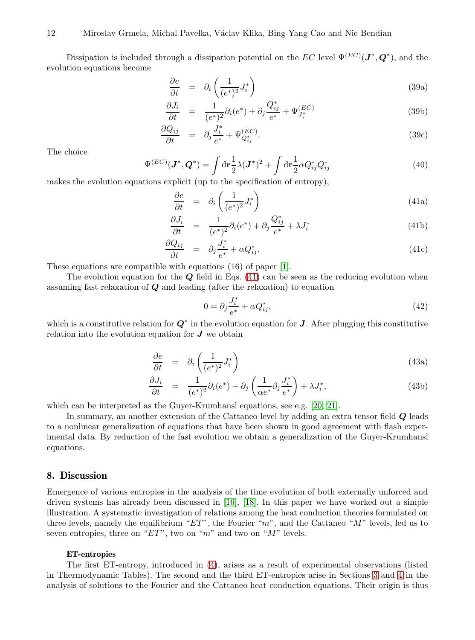Dissipation is included through a dissipation potential on the EC level  $\Psi^{(EC)}(\mathbf{J}^*,\mathbf{Q}^*)$ , and the evolution equations become

$$
\frac{\partial e}{\partial t} = \partial_i \left( \frac{1}{(e^*)^2} J_i^* \right) \tag{39a}
$$

$$
\frac{\partial J_i}{\partial t} = \frac{1}{(e^*)^2} \partial_i (e^*) + \partial_j \frac{Q_{ij}^*}{e^*} + \Psi_{J_i^*}^{(EC)} \tag{39b}
$$

$$
\frac{\partial Q_{ij}}{\partial t} = \partial_j \frac{J_i^*}{e^*} + \Psi_{Q_{ij}^*}^{(EC)}.
$$
\n(39c)

The choice

$$
\Psi^{(EC)}(\mathbf{J}^*, \mathbf{Q}^*) = \int d\mathbf{r} \frac{1}{2} \lambda (\mathbf{J}^*)^2 + \int d\mathbf{r} \frac{1}{2} \alpha Q_{ij}^* Q_{ij}^* \tag{40}
$$

makes the evolution equations explicit (up to the specification of entropy),

<span id="page-11-0"></span>
$$
\frac{\partial e}{\partial t} = \partial_i \left( \frac{1}{(e^*)^2} J_i^* \right) \tag{41a}
$$

$$
\frac{\partial J_i}{\partial t} = \frac{1}{(e^*)^2} \partial_i (e^*) + \partial_j \frac{Q^*_{ij}}{e^*} + \lambda J_i^* \tag{41b}
$$

$$
\frac{\partial Q_{ij}}{\partial t} = \partial_j \frac{J_i^*}{e^*} + \alpha Q_{ij}^*.
$$
\n(41c)

These equations are compatible with equations (16) of paper [\[1\]](#page-12-3).

The evolution equation for the  $Q$  field in Eqs. [\(41\)](#page-11-0) can be seen as the reducing evolution when assuming fast relaxation of  $Q$  and leading (after the relaxation) to equation

$$
0 = \partial_j \frac{J_i^*}{e^*} + \alpha Q_{ij}^*,\tag{42}
$$

which is a constitutive relation for  $Q^*$  in the evolution equation for J. After plugging this constitutive relation into the evolution equation for  $J$  we obtain

$$
\frac{\partial e}{\partial t} = \partial_i \left( \frac{1}{(e^*)^2} J_i^* \right) \tag{43a}
$$

$$
\frac{\partial J_i}{\partial t} = \frac{1}{(e^*)^2} \partial_i (e^*) - \partial_j \left( \frac{1}{\alpha e^*} \partial_j \frac{J_i^*}{e^*} \right) + \lambda J_i^*, \tag{43b}
$$

which can be interpreted as the Guyer-Krumhansl equations, see e.g. [\[20,](#page-13-13) [21\]](#page-13-14).

In summary, an another extension of the Cattaneo level by adding an extra tensor field Q leads to a nonlinear generalization of equations that have been shown in good agreement with flash experimental data. By reduction of the fast evolution we obtain a generalization of the Guyer-Krumhansl equations.

# 8. Discussion

Emergence of various entropies in the analysis of the time evolution of both externally unforced and driven systems has already been discussed in [\[16\]](#page-13-15), [\[18\]](#page-13-16). In this paper we have worked out a simple illustration. A systematic investigation of relations among the heat conduction theories formulated on three levels, namely the equilibrium " $ET$ ", the Fourier "m", and the Cattaneo "M" levels, led us to seven entropies, three on " $ET$ ", two on "m" and two on "M" levels.

#### ET-entropies

The first ET-entropy, introduced in [\(4\)](#page-1-2), arises as a result of experimental observations (listed in Thermodynamic Tables). The second and the third ET-entropies arise in Sections [3](#page-2-7) and [4](#page-4-7) in the analysis of solutions to the Fourier and the Cattaneo heat conduction equations. Their origin is thus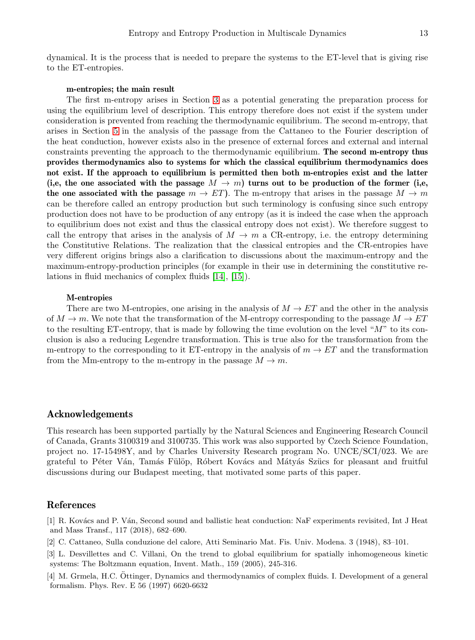dynamical. It is the process that is needed to prepare the systems to the ET-level that is giving rise to the ET-entropies.

#### m-entropies; the main result

The first m-entropy arises in Section [3](#page-2-7) as a potential generating the preparation process for using the equilibrium level of description. This entropy therefore does not exist if the system under consideration is prevented from reaching the thermodynamic equilibrium. The second m-entropy, that arises in Section [5](#page-7-3) in the analysis of the passage from the Cattaneo to the Fourier description of the heat conduction, however exists also in the presence of external forces and external and internal constraints preventing the approach to the thermodynamic equilibrium. The second m-entropy thus provides thermodynamics also to systems for which the classical equilibrium thermodynamics does not exist. If the approach to equilibrium is permitted then both m-entropies exist and the latter (i,e, the one associated with the passage  $M \to m$ ) turns out to be production of the former (i,e, the one associated with the passage  $m \to ET$ . The m-entropy that arises in the passage  $M \to m$ can be therefore called an entropy production but such terminology is confusing since such entropy production does not have to be production of any entropy (as it is indeed the case when the approach to equilibrium does not exist and thus the classical entropy does not exist). We therefore suggest to call the entropy that arises in the analysis of  $M \to m$  a CR-entropy, i.e. the entropy determining the Constitutive Relations. The realization that the classical entropies and the CR-entropies have very different origins brings also a clarification to discussions about the maximum-entropy and the maximum-entropy-production principles (for example in their use in determining the constitutive relations in fluid mechanics of complex fluids [\[14\]](#page-13-17), [\[15\]](#page-13-18)).

#### M-entropies

There are two M-entropies, one arising in the analysis of  $M \to ET$  and the other in the analysis of  $M \to m$ . We note that the transformation of the M-entropy corresponding to the passage  $M \to ET$ to the resulting ET-entropy, that is made by following the time evolution on the level "M" to its conclusion is also a reducing Legendre transformation. This is true also for the transformation from the m-entropy to the corresponding to it ET-entropy in the analysis of  $m \to ET$  and the transformation from the Mm-entropy to the m-entropy in the passage  $M \to m$ .

## Acknowledgements

This research has been supported partially by the Natural Sciences and Engineering Research Council of Canada, Grants 3100319 and 3100735. This work was also supported by Czech Science Foundation, project no. 17-15498Y, and by Charles University Research program No. UNCE/SCI/023. We are grateful to Péter Ván, Tamás Fülöp, Róbert Kovács and Mátyás Szücs for pleasant and fruitful discussions during our Budapest meeting, that motivated some parts of this paper.

## <span id="page-12-3"></span>References

[1] R. Kovács and P. Ván, Second sound and ballistic heat conduction: NaF experiments revisited, Int J Heat and Mass Transf., 117 (2018), 682–690.

- <span id="page-12-1"></span><span id="page-12-0"></span>[2] C. Cattaneo, Sulla conduzione del calore, Atti Seminario Mat. Fis. Univ. Modena. 3 (1948), 83–101.
- [3] L. Desvillettes and C. Villani, On the trend to global equilibrium for spatially inhomogeneous kinetic systems: The Boltzmann equation, Invent. Math., 159 (2005), 245-316.

<span id="page-12-2"></span>[4] M. Grmela, H.C. Öttinger, Dynamics and thermodynamics of complex fluids. I. Development of a general formalism. Phys. Rev. E 56 (1997) 6620-6632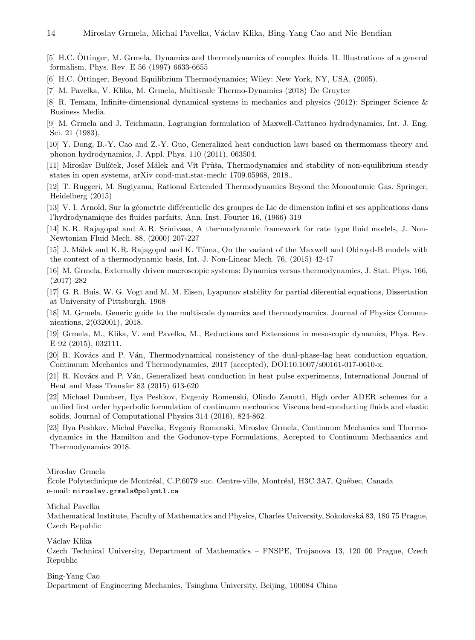<span id="page-13-3"></span>[5] H.C. Öttinger, M. Grmela, Dynamics and thermodynamics of complex fluids. II. Illustrations of a general formalism. Phys. Rev. E 56 (1997) 6633-6655

- <span id="page-13-5"></span><span id="page-13-4"></span>[6] H.C. Öttinger, Beyond Equilibrium Thermodynamics; Wiley: New York, NY, USA, (2005).
- <span id="page-13-2"></span>[7] M. Pavelka, V. Klika, M. Grmela, Multiscale Thermo-Dynamics (2018) De Gruyter
- <span id="page-13-8"></span>[8] R. Temam, Infinite-dimensional dynamical systems in mechanics and physics (2012); Springer Science & Business Media.
- [9] M. Grmela and J. Teichmann, Lagrangian formulation of Maxwell-Cattaneo hydrodynamics, Int. J. Eng. Sci. 21 (1983),
- <span id="page-13-9"></span>[10] Y. Dong, B.-Y. Cao and Z.-Y. Guo, Generalized heat conduction laws based on thermomass theory and phonon hydrodynamics, J. Appl. Phys. 110 (2011), 063504.
- <span id="page-13-0"></span>[11] Miroslav Bulíček, Josef Málek and Vít Průša, Thermodynamics and stability of non-equilibrium steady states in open systems, arXiv cond-mat.stat-mech: 1709.05968, 2018..
- <span id="page-13-10"></span>[12] T. Ruggeri, M. Sugiyama, Rational Extended Thermodynamics Beyond the Monoatomic Gas. Springer, Heidelberg (2015)
- <span id="page-13-11"></span>[13] V. I. Arnold, Sur la géometrie différentielle des groupes de Lie de dimension infini et ses applications dans l'hydrodynamique des fluides parfaits, Ann. Inst. Fourier 16, (1966) 319
- <span id="page-13-17"></span>[14] K. R. Rajagopal and A. R. Srinivasa, A thermodynamic framework for rate type fluid models, J. Non-Newtonian Fluid Mech. 88, (2000) 207-227
- <span id="page-13-18"></span>[15] J. Málek and K. R. Rajagopal and K. Tůma, On the variant of the Maxwell and Oldroyd-B models with the context of a thermodynamic basis, Int. J. Non-Linear Mech. 76, (2015) 42-47
- <span id="page-13-15"></span>[16] M. Grmela, Externally driven macroscopic systems: Dynamics versus thermodynamics, J. Stat. Phys. 166, (2017) 282
- <span id="page-13-1"></span>[17] G. R. Buis, W. G. Vogt and M. M. Eisen, Lyapunov stability for partial diferential equations, Dissertation at University of Pittsburgh, 1968
- <span id="page-13-16"></span>[18] M. Grmela. Generic guide to the multiscale dynamics and thermodynamics. Journal of Physics Communications, 2(032001), 2018.
- <span id="page-13-12"></span>[19] Grmela, M., Klika, V. and Pavelka, M., Reductions and Extensions in mesoscopic dynamics, Phys. Rev. E 92 (2015), 032111.
- <span id="page-13-13"></span>[20] R. Kovács and P. Ván, Thermodynamical consistency of the dual-phase-lag heat conduction equation, Continuum Mechanics and Thermodynamics, 2017 (accepted), DOI:10.1007/s00161-017-0610-x.
- <span id="page-13-14"></span>[21] R. Kovács and P. Ván, Generalized heat conduction in heat pulse experiments, International Journal of Heat and Mass Transfer 83 (2015) 613-620
- <span id="page-13-6"></span>[22] Michael Dumbser, Ilya Peshkov, Evgeniy Romenski, Olindo Zanotti, High order ADER schemes for a unified first order hyperbolic formulation of continuum mechanics: Viscous heat-conducting fluids and elastic solids, Journal of Computational Physics 314 (2016), 824-862.
- <span id="page-13-7"></span>[23] Ilya Peshkov, Michal Pavelka, Evgeniy Romenski, Miroslav Grmela, Continuum Mechanics and Thermodynamics in the Hamilton and the Godunov-type Formulations, Accepted to Continuum Mechaanics and Thermodynamics 2018.

Miroslav Grmela

École Polytechnique de Montréal, C.P.6079 suc. Centre-ville, Montréal, H3C 3A7, Québec, Canada e-mail: miroslav.grmela@polymtl.ca

Michal Pavelka

Mathematical Institute, Faculty of Mathematics and Physics, Charles University, Sokolovsk´a 83, 186 75 Prague, Czech Republic

Václav Klika

Czech Technical University, Department of Mathematics – FNSPE, Trojanova 13, 120 00 Prague, Czech Republic

Bing-Yang Cao

Department of Engineering Mechanics, Tsinghua University, Beijing, 100084 China